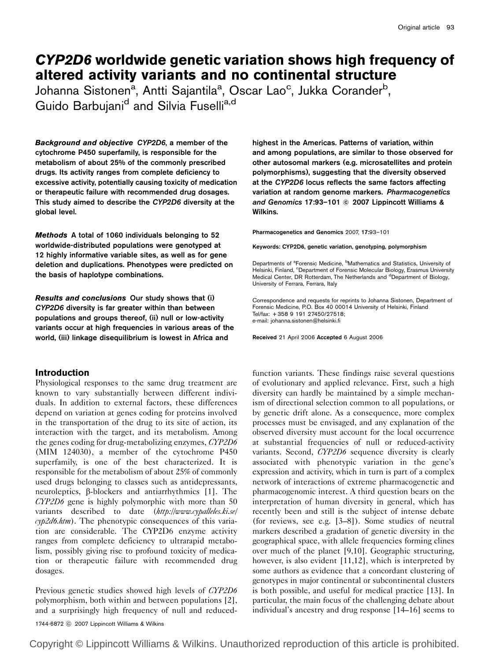# CYP2D6 worldwide genetic variation shows high frequency of altered activity variants and no continental structure

Johanna Sistonen<sup>a</sup>, Antti Sajantila<sup>a</sup>, Oscar Lao<sup>c</sup>, Jukka Corander<sup>b</sup>, Guido Barbujani<sup>d</sup> and Silvia Fuselli<sup>a,d</sup>

Background and objective CYP2D6, a member of the cytochrome P450 superfamily, is responsible for the metabolism of about 25% of the commonly prescribed drugs. Its activity ranges from complete deficiency to excessive activity, potentially causing toxicity of medication or therapeutic failure with recommended drug dosages. This study aimed to describe the CYP2D6 diversity at the global level.

Methods A total of 1060 individuals belonging to 52 worldwide-distributed populations were genotyped at 12 highly informative variable sites, as well as for gene deletion and duplications. Phenotypes were predicted on the basis of haplotype combinations.

Results and conclusions Our study shows that (i) CYP2D6 diversity is far greater within than between populations and groups thereof, (ii) null or low-activity variants occur at high frequencies in various areas of the world, (iii) linkage disequilibrium is lowest in Africa and

# Introduction

Physiological responses to the same drug treatment are known to vary substantially between different individuals. In addition to external factors, these differences depend on variation at genes coding for proteins involved in the transportation of the drug to its site of action, its interaction with the target, and its metabolism. Among the genes coding for drug-metabolizing enzymes, CYP2D6 (MIM 124030), a member of the cytochrome P450 superfamily, is one of the best characterized. It is responsible for the metabolism of about 25% of commonly used drugs belonging to classes such as antidepressants, neuroleptics, *b*-blockers and antiarrhythmics [1]. The CYP2D6 gene is highly polymorphic with more than 50 variants described to date (http://www.cypalleles.ki.se/  $\alpha$ yp2d6.htm). The phenotypic consequences of this variation are considerable. The CYP2D6 enzyme activity ranges from complete deficiency to ultrarapid metabolism, possibly giving rise to profound toxicity of medication or therapeutic failure with recommended drug dosages.

Previous genetic studies showed high levels of CYP2D6 polymorphism, both within and between populations [2], and a surprisingly high frequency of null and reducedhighest in the Americas. Patterns of variation, within and among populations, are similar to those observed for other autosomal markers (e.g. microsatellites and protein polymorphisms), suggesting that the diversity observed at the CYP2D6 locus reflects the same factors affecting variation at random genome markers. Pharmacogenetics and Genomics 17:93-101 © 2007 Lippincott Williams & Wilkins.

Pharmacogenetics and Genomics 2007, 17:93–101

Keywords: CYP2D6, genetic variation, genotyping, polymorphism

Departments of <sup>a</sup>Forensic Medicine, <sup>b</sup>Mathematics and Statistics, University of Helsinki, Finland, <sup>c</sup>Department of Forensic Molecular Biology, Erasmus University Medical Center, DR Rotterdam, The Netherlands and <sup>d</sup>Department of Biology, University of Ferrara, Ferrara, Italy

Correspondence and requests for reprints to Johanna Sistonen, Department of Forensic Medicine, P.O. Box 40 00014 University of Helsinki, Finland Tel/fax: + 358 9 191 27450/27518; e-mail: johanna.sistonen@helsinki.fi

Received 21 April 2006 Accepted 6 August 2006

function variants. These findings raise several questions of evolutionary and applied relevance. First, such a high diversity can hardly be maintained by a simple mechanism of directional selection common to all populations, or by genetic drift alone. As a consequence, more complex processes must be envisaged, and any explanation of the observed diversity must account for the local occurrence at substantial frequencies of null or reduced-activity variants. Second, CYP2D6 sequence diversity is clearly associated with phenotypic variation in the gene's expression and activity, which in turn is part of a complex network of interactions of extreme pharmacogenetic and pharmacogenomic interest. A third question bears on the interpretation of human diversity in general, which has recently been and still is the subject of intense debate (for reviews, see e.g. [3–8]). Some studies of neutral markers described a gradation of genetic diversity in the geographical space, with allele frequencies forming clines over much of the planet [9,10]. Geographic structuring, however, is also evident [11,12], which is interpreted by some authors as evidence that a concordant clustering of genotypes in major continental or subcontinental clusters is both possible, and useful for medical practice [13]. In particular, the main focus of the challenging debate about individual's ancestry and drug response [14–16] seems to

1744-6872 C 2007 Lippincott Williams & Wilkins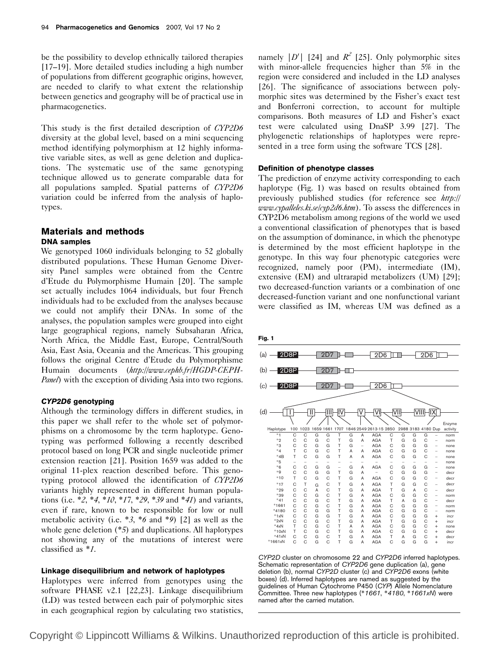be the possibility to develop ethnically tailored therapies [17–19]. More detailed studies including a high number of populations from different geographic origins, however, are needed to clarify to what extent the relationship between genetics and geography will be of practical use in pharmacogenetics.

This study is the first detailed description of CYP2D6 diversity at the global level, based on a mini sequencing method identifying polymorphism at 12 highly informative variable sites, as well as gene deletion and duplications. The systematic use of the same genotyping technique allowed us to generate comparable data for all populations sampled. Spatial patterns of CYP2D6 variation could be inferred from the analysis of haplotypes.

# Materials and methods DNA samples

We genotyped 1060 individuals belonging to 52 globally distributed populations. These Human Genome Diversity Panel samples were obtained from the Centre d'Etude du Polymorphisme Humain [20]. The sample set actually includes 1064 individuals, but four French individuals had to be excluded from the analyses because we could not amplify their DNAs. In some of the analyses, the population samples were grouped into eight large geographical regions, namely Subsaharan Africa, North Africa, the Middle East, Europe, Central/South Asia, East Asia, Oceania and the Americas. This grouping follows the original Centre d'Etude du Polymorphisme Humain documents (http://www.cephb.fr/HGDP-CEPH-Panel) with the exception of dividing Asia into two regions.

## CYP2D6 genotyping

Although the terminology differs in different studies, in this paper we shall refer to the whole set of polymorphisms on a chromosome by the term haplotype. Genotyping was performed following a recently described protocol based on long PCR and single nucleotide primer extension reaction [21]. Position 1659 was added to the original 11-plex reaction described before. This genotyping protocol allowed the identification of CYP2D6 variants highly represented in different human populations (i.e.  $*2$ ,  $*4$ ,  $*10$ ,  $*17$ ,  $*29$ ,  $*39$  and  $*41$ ) and variants, even if rare, known to be responsible for low or null metabolic activity (i.e.  $*3$ ,  $*6$  and  $*9$ ) [2] as well as the whole gene deletion  $(*5)$  and duplications. All haplotypes not showing any of the mutations of interest were classified as \*1.

## Linkage disequilibrium and network of haplotypes

Haplotypes were inferred from genotypes using the software PHASE v2.1 [22,23]. Linkage disequilibrium (LD) was tested between each pair of polymorphic sites in each geographical region by calculating two statistics,

namely |D'| [24] and  $R^2$  [25]. Only polymorphic sites with minor-allele frequencies higher than 5% in the region were considered and included in the LD analyses [26]. The significance of associations between polymorphic sites was determined by the Fisher's exact test and Bonferroni correction, to account for multiple comparisons. Both measures of LD and Fisher's exact test were calculated using DnaSP 3.99 [27]. The phylogenetic relationships of haplotypes were represented in a tree form using the software TCS [28].

## Definition of phenotype classes

The prediction of enzyme activity corresponding to each haplotype (Fig. 1) was based on results obtained from previously published studies (for reference see http:// www.cypalleles.ki.se/cyp2d6.htm). To assess the differences in CYP2D6 metabolism among regions of the world we used a conventional classification of phenotypes that is based on the assumption of dominance, in which the phenotype is determined by the most efficient haplotype in the genotype. In this way four phenotypic categories were recognized, namely poor (PM), intermediate (IM), extensive (EM) and ultrarapid metabolizers (UM) [29]; two decreased-function variants or a combination of one decreased-function variant and one nonfunctional variant were classified as IM, whereas UM was defined as a



CYP2D cluster on chromosome 22 and CYP2D6 inferred haplotypes. Schematic representation of CYP2D6 gene duplication (a), gene deletion (b), normal CYP2D cluster (c) and CYP2D6 exons (white boxes) (d). Inferred haplotypes are named as suggested by the guidelines of Human Cytochrome P450 (CYP) Allele Nomenclature Committee. Three new haplotypes (\*1661, \*4180, \*1661xN) were named after the carried mutation.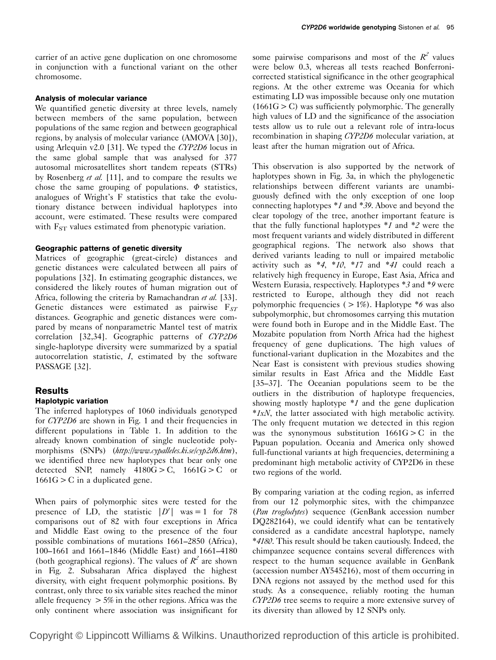carrier of an active gene duplication on one chromosome in conjunction with a functional variant on the other chromosome.

## Analysis of molecular variance

We quantified genetic diversity at three levels, namely between members of the same population, between populations of the same region and between geographical regions, by analysis of molecular variance (AMOVA [30]), using Arlequin v2.0 [31]. We typed the CYP2D6 locus in the same global sample that was analysed for 377 autosomal microsatellites short tandem repeats (STRs) by Rosenberg et al. [11], and to compare the results we chose the same grouping of populations.  $\Phi$  statistics, analogues of Wright's F statistics that take the evolutionary distance between individual haplotypes into account, were estimated. These results were compared with  $F_{ST}$  values estimated from phenotypic variation.

### Geographic patterns of genetic diversity

Matrices of geographic (great-circle) distances and genetic distances were calculated between all pairs of populations [32]. In estimating geographic distances, we considered the likely routes of human migration out of Africa, following the criteria by Ramachandran et al. [33]. Genetic distances were estimated as pairwise  $F_{ST}$ distances. Geographic and genetic distances were compared by means of nonparametric Mantel test of matrix correlation [32,34]. Geographic patterns of CYP2D6 single-haplotype diversity were summarized by a spatial autocorrelation statistic, I, estimated by the software PASSAGE [32].

## Results

# Haplotypic variation

The inferred haplotypes of 1060 individuals genotyped for CYP2D6 are shown in Fig. 1 and their frequencies in different populations in Table 1. In addition to the already known combination of single nucleotide polymorphisms (SNPs) (http://www.cypalleles.ki.se/cyp2d6.htm), we identified three new haplotypes that bear only one detected SNP, namely  $4180G > C$ ,  $1661G > C$  or  $1661G > C$  in a duplicated gene.

When pairs of polymorphic sites were tested for the presence of LD, the statistic  $|D'|$  was = 1 for 78 comparisons out of 82 with four exceptions in Africa and Middle East owing to the presence of the four possible combinations of mutations 1661–2850 (Africa), 100–1661 and 1661–1846 (Middle East) and 1661–4180 (both geographical regions). The values of  $R^2$  are shown in Fig. 2. Subsaharan Africa displayed the highest diversity, with eight frequent polymorphic positions. By contrast, only three to six variable sites reached the minor allele frequency  $> 5\%$  in the other regions. Africa was the only continent where association was insignificant for

some pairwise comparisons and most of the  $R^2$  values were below 0.3, whereas all tests reached Bonferronicorrected statistical significance in the other geographical regions. At the other extreme was Oceania for which estimating LD was impossible because only one mutation  $(1661G > C)$  was sufficiently polymorphic. The generally high values of LD and the significance of the association tests allow us to rule out a relevant role of intra-locus recombination in shaping CYP2D6 molecular variation, at least after the human migration out of Africa.

This observation is also supported by the network of haplotypes shown in Fig. 3a, in which the phylogenetic relationships between different variants are unambiguously defined with the only exception of one loop connecting haplotypes \*1 and \*39. Above and beyond the clear topology of the tree, another important feature is that the fully functional haplotypes  $*1$  and  $*2$  were the most frequent variants and widely distributed in different geographical regions. The network also shows that derived variants leading to null or impaired metabolic activity such as  $*4$ ,  $*10$ ,  $*17$  and  $*41$  could reach a relatively high frequency in Europe, East Asia, Africa and Western Eurasia, respectively. Haplotypes \*3 and \*9 were restricted to Europe, although they did not reach polymorphic frequencies ( $> 1\%$ ). Haplotype  $*6$  was also subpolymorphic, but chromosomes carrying this mutation were found both in Europe and in the Middle East. The Mozabite population from North Africa had the highest frequency of gene duplications. The high values of functional-variant duplication in the Mozabites and the Near East is consistent with previous studies showing similar results in East Africa and the Middle East [35–37]. The Oceanian populations seem to be the outliers in the distribution of haplotype frequencies, showing mostly haplotype  $*1$  and the gene duplication \*1xN, the latter associated with high metabolic activity. The only frequent mutation we detected in this region was the synonymous substitution  $1661G > C$  in the Papuan population. Oceania and America only showed full-functional variants at high frequencies, determining a predominant high metabolic activity of CYP2D6 in these two regions of the world.

By comparing variation at the coding region, as inferred from our 12 polymorphic sites, with the chimpanzee (Pan troglodytes) sequence (GenBank accession number DQ282164), we could identify what can be tentatively considered as a candidate ancestral haplotype, namely \*4180. This result should be taken cautiously. Indeed, the chimpanzee sequence contains several differences with respect to the human sequence available in GenBank (accession number AY545216), most of them occurring in DNA regions not assayed by the method used for this study. As a consequence, reliably rooting the human CYP2D6 tree seems to require a more extensive survey of its diversity than allowed by 12 SNPs only.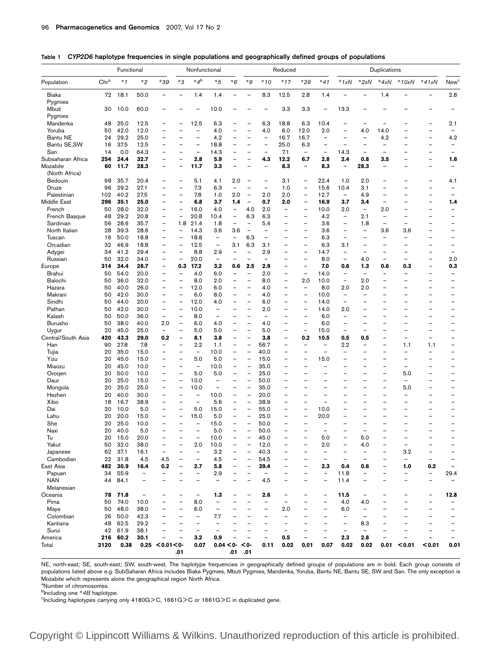|                         | Functional |              |                          |                                                      | Nonfunctional                                        |                                 |                                 | Reduced                                              |                                                      |                                 |                                                      | Duplications                                         |                                                      |                                                      |                                                      |                          |                                                      |                          |                               |
|-------------------------|------------|--------------|--------------------------|------------------------------------------------------|------------------------------------------------------|---------------------------------|---------------------------------|------------------------------------------------------|------------------------------------------------------|---------------------------------|------------------------------------------------------|------------------------------------------------------|------------------------------------------------------|------------------------------------------------------|------------------------------------------------------|--------------------------|------------------------------------------------------|--------------------------|-------------------------------|
| Population              | Chra       | $*1$         | $*_{2}$                  | $*39$                                                | $*3$                                                 | $*4^b$                          | $*5$                            | $*6$                                                 | $*g$                                                 | $*10$                           | $*17$                                                | $*29$                                                | $*41$                                                | $*1xN$                                               | $*2xN$                                               | $*4xN$                   | $*10xN$                                              | $*41xN$                  | New <sup>c</sup>              |
| Biaka                   | 72         | 18.1         | 50.0                     |                                                      | $\qquad \qquad -$                                    | 1.4                             | 1.4                             |                                                      | $\overline{\phantom{0}}$                             | 8.3                             | 12.5                                                 | 2.8                                                  | 1.4                                                  |                                                      |                                                      | 1.4                      |                                                      |                          | 2.8                           |
| Pygmies                 |            |              |                          |                                                      |                                                      |                                 |                                 |                                                      |                                                      |                                 |                                                      |                                                      |                                                      |                                                      |                                                      |                          |                                                      |                          |                               |
| Mbuti                   | 30         | 10.0         | 60.0                     |                                                      |                                                      | $\overline{\phantom{0}}$        | 10.0                            |                                                      |                                                      | $\overline{\phantom{0}}$        | 3.3                                                  | 3.3                                                  | $\overline{\phantom{a}}$                             | 13.3                                                 |                                                      |                          |                                                      |                          |                               |
| Pygmies<br>Mandenka     | 48         | 25.0         | 12.5                     |                                                      |                                                      | 12.5                            | 6.3                             |                                                      | $\overline{\phantom{0}}$                             | 6.3                             | 18.8                                                 | 6.3                                                  | 10.4                                                 | $\overline{\phantom{0}}$                             |                                                      |                          |                                                      |                          | 2.1                           |
| Yoruba                  | 50         | 42.0         | 12.0                     |                                                      |                                                      | $\overline{\phantom{0}}$        | 4.0                             | —                                                    | $\overline{\phantom{0}}$                             | 4.0                             | 6.0                                                  | 12.0                                                 | 2.0                                                  | $\overline{\phantom{0}}$                             | 4.0                                                  | 14.0                     |                                                      |                          |                               |
| Bantu NE                | 24         | 29.2         | 25.0                     | $\overline{\phantom{0}}$                             | $\qquad \qquad -$                                    | $\qquad \qquad -$               | 4.2                             | -                                                    | $\overline{\phantom{0}}$                             | $\overline{\phantom{a}}$        | 16.7                                                 | 16.7                                                 | $\qquad \qquad -$                                    | $\overline{\phantom{0}}$                             | $\qquad \qquad -$                                    | 4.2                      | $\overline{\phantom{0}}$                             | —                        | 4.2                           |
| Bantu SE, SW            | 16         | 37.5         | 12.5                     | $\overline{\phantom{0}}$                             | $\overline{\phantom{0}}$                             | $\overline{\phantom{0}}$        | 18.8                            | $\overline{\phantom{0}}$                             | $\overline{\phantom{0}}$                             |                                 | 25.0                                                 | 6.3                                                  | $\overline{\phantom{0}}$                             | $\overline{\phantom{0}}$                             | $\overline{\phantom{0}}$                             | $\overline{a}$           | $\overline{\phantom{0}}$                             | —                        | $\overline{\phantom{0}}$      |
| San                     | 14         | 0.0          | 64.3                     | $\overline{\phantom{0}}$                             | $\overline{\phantom{0}}$                             | $\overline{\phantom{m}}$        | 14.3                            | -                                                    | $\overline{\phantom{0}}$                             | $\overline{\phantom{a}}$        | 7.1                                                  | $\overline{\phantom{a}}$                             | $\overline{\phantom{a}}$                             | 14.3                                                 | $\overline{\phantom{0}}$                             | $\overline{\phantom{0}}$ | $\overline{\phantom{0}}$                             | —                        |                               |
| Subsaharan Africa       | 254        | 24.4         | 32.7                     | $\qquad \qquad -$                                    | $\overline{\phantom{0}}$                             | 2.8                             | 5.9                             | -                                                    | $\overline{\phantom{0}}$                             | 4.3                             | 12.2                                                 | 6.7                                                  | 2.8                                                  | 2.4                                                  | 0.8                                                  | 3.5                      | $\overline{a}$                                       | —                        | 1.6                           |
| Mozabite                | 60         | 11.7         | 28.3                     |                                                      |                                                      | 11.7                            | 3.3                             | $\overline{\phantom{0}}$                             |                                                      | $\overline{\phantom{0}}$        | 8.3                                                  |                                                      | 8.3                                                  | $\overline{\phantom{0}}$                             | 28.3                                                 | $\overline{\phantom{0}}$ |                                                      |                          |                               |
| (North Africa)          |            |              |                          |                                                      |                                                      |                                 |                                 |                                                      |                                                      |                                 |                                                      |                                                      |                                                      |                                                      |                                                      |                          |                                                      |                          |                               |
| Bedouin                 | 98         | 35.7         | 20.4                     | $\overline{\phantom{0}}$                             |                                                      | 5.1                             | 4.1                             | 2.0                                                  |                                                      |                                 | 3.1                                                  | $\overline{\phantom{0}}$                             | 22.4                                                 | 1.0                                                  | 2.0                                                  | $\overline{\phantom{0}}$ |                                                      |                          | 4.1                           |
| Druze                   | 96         | 29.2         | 27.1                     | $\overline{\phantom{0}}$                             | $\qquad \qquad -$                                    | 7.3                             | 6.3                             | $\overline{\phantom{0}}$                             | $\overline{\phantom{0}}$                             | $\overline{\phantom{0}}$        | 1.0                                                  | $\overline{\phantom{0}}$                             | 15.6                                                 | 10.4                                                 | 3.1                                                  |                          | $\overline{\phantom{0}}$                             | —                        |                               |
| Palestinian             | 102        | 40.2         | 27.5                     | $\overline{\phantom{0}}$                             | $\qquad \qquad -$                                    | 7.8                             | 1.0                             | 2.0                                                  | $\overline{\phantom{0}}$                             | 2.0                             | 2.0                                                  | $\overline{\phantom{a}}$                             | 12.7                                                 | $\overline{\phantom{0}}$                             | 4.9                                                  | $\overline{\phantom{0}}$ | $\overline{\phantom{0}}$                             | —                        |                               |
| Middle East             | 296        | 35.1         | 25.0                     | $\overline{\phantom{0}}$<br>$\overline{\phantom{0}}$ | $\overline{\phantom{a}}$<br>$\overline{\phantom{a}}$ | 6.8                             | 3.7                             | 1.4                                                  | $\overline{\phantom{a}}$                             | 0.7                             | 2.0                                                  | $\overline{\phantom{0}}$                             | 16.9                                                 | 3.7                                                  | 3.4<br>$\overline{\phantom{m}}$                      | $\overline{\phantom{0}}$ | $\overline{\phantom{0}}$<br>$\overline{\phantom{0}}$ | —                        | 1.4                           |
| French<br>French Basque | 50<br>48   | 28.0<br>29.2 | 32.0<br>20.8             | $\overline{\phantom{0}}$                             | $\overline{\phantom{m}}$                             | 16.0<br>20.8                    | 4.0<br>10.4                     | $\overline{\phantom{a}}$<br>$\qquad \qquad -$        | 4.0<br>6.3                                           | 2.0<br>6.3                      | $\overline{\phantom{a}}$<br>$\overline{\phantom{0}}$ | $\overline{\phantom{a}}$<br>$\overline{\phantom{0}}$ | 10.0<br>4.2                                          | 2.0<br>$\qquad \qquad -$                             | 2.1                                                  | 2.0                      | $\overline{\phantom{0}}$                             |                          |                               |
| Sardinian               | 56         | 28.6         | 35.7                     | $\overline{\phantom{m}}$                             | 1.8                                                  | 21.4                            | 1.8                             | $\overline{\phantom{a}}$                             | $\qquad \qquad -$                                    | 5.4                             | $\overline{\phantom{0}}$                             | $\overline{\phantom{0}}$                             | 3.6                                                  | $\overline{\phantom{a}}$                             | 1.8                                                  | $\overline{\phantom{0}}$ | $\overline{\phantom{0}}$                             |                          | -                             |
| North Italian           | 28         | 39.3         | 28.6                     | $\overline{\phantom{0}}$                             | $\overline{\phantom{a}}$                             | 14.3                            | 3.6                             | 3.6                                                  | $\overline{\phantom{a}}$                             | $\overline{\phantom{0}}$        | $\overline{\phantom{0}}$                             | $\overline{\phantom{0}}$                             | 3.6                                                  | $\overline{\phantom{0}}$                             | $\overline{\phantom{0}}$                             | 3.6                      | 3.6                                                  |                          | -                             |
| Tuscan                  | 16         | 50.0         | 18.8                     | $\qquad \qquad -$                                    | $\overline{\phantom{a}}$                             | 18.8                            | $\overline{\phantom{a}}$        | $\qquad \qquad -$                                    | 6.3                                                  | $\overline{\phantom{a}}$        | $\overline{\phantom{0}}$                             |                                                      | 6.3                                                  | $\qquad \qquad -$                                    | $\overline{\phantom{0}}$                             | $\overline{\phantom{0}}$ | $\overline{\phantom{0}}$                             |                          | —                             |
| Orcadian                | 32         | 46.9         | 18.8                     | $\overline{\phantom{m}}$                             | $\overline{\phantom{m}}$                             | 12.5                            | $\overline{\phantom{a}}$        | 3.1                                                  | 6.3                                                  | 3.1                             | $\overline{\phantom{0}}$                             | $\overline{\phantom{a}}$                             | 6.3                                                  | 3.1                                                  | $\overline{\phantom{0}}$                             | $\overline{\phantom{0}}$ | $\overline{\phantom{0}}$                             | —                        | $\overline{\phantom{0}}$      |
| Adygei                  | 34         | 41.2         | 29.4                     |                                                      | $\overline{\phantom{a}}$                             | 8.8                             | 2.9                             | $\qquad \qquad -$                                    | $\qquad \qquad -$                                    | 2.9                             | $\overline{\phantom{0}}$                             |                                                      | 14.7                                                 | $\overline{\phantom{a}}$                             | —                                                    |                          | $\overline{\phantom{0}}$                             | -                        | —                             |
| Russian                 | 50         | 32.0         | 34.0                     | $\qquad \qquad -$                                    | $\overline{\phantom{m}}$                             | 20.0                            | $\overline{\phantom{a}}$        | $\overline{\phantom{0}}$                             | $\overline{\phantom{0}}$                             |                                 | $\overline{\phantom{0}}$                             | $\overline{\phantom{0}}$                             | 8.0                                                  | $\overline{\phantom{a}}$                             | 4.0                                                  | $\qquad \qquad -$        |                                                      | —                        | 2.0                           |
| Europe                  | 314        | 34.4         | 28.7                     | $\overline{\phantom{0}}$                             | 0.3                                                  | 17.2                            | 3.2                             | 0.6                                                  | 2.5                                                  | 2.9                             | $\overline{\phantom{0}}$                             | $\overline{\phantom{0}}$                             | 7.0                                                  | 0.6                                                  | $1.3$                                                | 0.6                      | 0.3                                                  | -                        | 0.3                           |
| Brahui                  | 50         | 54.0         | 20.0                     | $\overline{\phantom{a}}$                             | $\overline{\phantom{a}}$                             | 4.0                             | 6.0                             | $\overline{\phantom{0}}$                             | $\qquad \qquad -$                                    | 2.0                             | $\qquad \qquad -$                                    | $\overline{\phantom{a}}$                             | 14.0                                                 | $\overline{\phantom{0}}$                             | $\overline{\phantom{0}}$                             |                          | $\overline{\phantom{0}}$                             | -                        | $\overline{\phantom{0}}$      |
| Balochi                 | 50         | 36.0         | 32.0                     | $\overline{\phantom{a}}$                             | $\overline{\phantom{a}}$                             | 8.0                             | 2.0                             | —                                                    | $\overline{\phantom{0}}$                             | 8.0                             | $\qquad \qquad -$                                    | 2.0                                                  | 10.0                                                 | $\overline{\phantom{a}}$                             | 2.0                                                  | $\overline{\phantom{0}}$ | $\overline{\phantom{0}}$                             | —                        | $\overline{\phantom{0}}$      |
| Hazara                  | 50         | 40.0         | 26.0                     | $\overline{\phantom{0}}$                             | $\overline{\phantom{0}}$                             | 12.0                            | 6.0                             | —                                                    | $\overline{\phantom{0}}$                             | 4.0                             | $\overline{\phantom{0}}$                             | $\overline{\phantom{0}}$                             | 8.0                                                  | 2.0                                                  | 2.0                                                  |                          | $\overline{\phantom{0}}$                             | -                        | —                             |
| Makrani                 | 50         | 42.0         | 30.0                     | $\overline{\phantom{a}}$                             | $\overline{\phantom{a}}$                             | 6.0                             | 8.0                             | $\qquad \qquad -$                                    | $\overline{\phantom{0}}$                             | 4.0                             | $\overline{\phantom{a}}$                             | $\overline{\phantom{a}}$                             | 10.0                                                 | $\overline{\phantom{a}}$                             |                                                      |                          |                                                      | -                        | —                             |
| Sindhi                  | 50         | 44.0         | 20.0                     | $\overline{\phantom{0}}$<br>$\overline{\phantom{0}}$ | $\overline{\phantom{0}}$<br>$\overline{\phantom{0}}$ | 12.0                            | 4.0<br>$\overline{\phantom{0}}$ | $\overline{\phantom{0}}$<br>—                        | $\overline{\phantom{0}}$<br>$\overline{\phantom{0}}$ | 6.0                             | $\overline{\phantom{0}}$<br>$\overline{\phantom{0}}$ | $\overline{\phantom{0}}$<br>$\overline{\phantom{0}}$ | 14.0                                                 | $\overline{\phantom{0}}$                             | -<br>$\overline{\phantom{0}}$                        | $\overline{\phantom{0}}$ | $\overline{\phantom{0}}$<br>$\overline{\phantom{0}}$ | —                        | -                             |
| Pathan<br>Kalash        | 50<br>50   | 42.0<br>50.0 | 30.0<br>36.0             | $\overline{\phantom{a}}$                             | $\overline{\phantom{a}}$                             | 10.0<br>8.0                     | $\overline{\phantom{0}}$        | —                                                    | $\overline{\phantom{0}}$                             | 2.0<br>$\overline{\phantom{0}}$ | $\overline{\phantom{0}}$                             | $\overline{\phantom{0}}$                             | 14.0<br>6.0                                          | 2.0<br>$\overline{\phantom{0}}$                      |                                                      |                          | $\overline{\phantom{0}}$                             | -<br>-                   | —                             |
| Burusho                 | 50         | 38.0         | 40.0                     | 2.0                                                  | $\overline{\phantom{m}}$                             | 6.0                             | 4.0                             | —                                                    | $\overline{\phantom{0}}$                             | 4.0                             | $\overline{\phantom{0}}$                             | $\overline{\phantom{0}}$                             | 6.0                                                  | $\overline{\phantom{0}}$                             | $\overline{\phantom{0}}$                             | $\overline{\phantom{0}}$ | $\overline{\phantom{0}}$                             | —                        | —                             |
| Uygur                   | 20         | 45.0         | 25.0                     | $\overline{\phantom{a}}$                             | $\overline{\phantom{0}}$                             | 5.0                             | 5.0                             | $\qquad \qquad -$                                    | $\overline{\phantom{0}}$                             | 5.0                             | $\overline{\phantom{0}}$                             | $\overline{\phantom{a}}$                             | 15.0                                                 | $\overline{\phantom{0}}$                             | $\overline{\phantom{0}}$                             |                          | $\overline{\phantom{0}}$                             | -                        | —                             |
| Central/South Asia      | 420        | 43.3         | 29.0                     | 0.2                                                  | $\overline{\phantom{a}}$                             | 8.1                             | 3.8                             | -                                                    | $\overline{\phantom{0}}$                             | 3.8                             | $\qquad \qquad -$                                    | 0.2                                                  | 10.5                                                 | 0.5                                                  | 0.5                                                  |                          | $\overline{\phantom{0}}$                             | $\overline{\phantom{0}}$ |                               |
| Han                     | 90         | 27.8         | 7.8                      | $\overline{\phantom{a}}$                             | $\qquad \qquad -$                                    | 2.2                             | 1.1                             | $\overline{\phantom{0}}$                             | $\overline{\phantom{0}}$                             | 56.7                            | $\overline{\phantom{0}}$                             | $\overline{\phantom{0}}$                             | $\overline{\phantom{0}}$                             | 2.2                                                  | $\overline{\phantom{0}}$                             | $\overline{\phantom{0}}$ | 1.1                                                  | 1.1                      | -                             |
| Tujia                   | 20         | 35.0         | 15.0                     | $\overline{\phantom{0}}$                             | $\overline{\phantom{0}}$                             | $\overline{\phantom{a}}$        | 10.0                            | $\overline{\phantom{0}}$                             | $\overline{\phantom{0}}$                             | 40.0                            | $\overline{\phantom{0}}$                             | $\overline{\phantom{0}}$                             | $\overline{\phantom{0}}$                             | $\overline{\phantom{0}}$                             |                                                      |                          | $\overline{\phantom{0}}$                             | $\overline{\phantom{0}}$ |                               |
| Yizu                    | 20         | 45.0         | 15.0                     | $\qquad \qquad -$                                    | $\overline{\phantom{a}}$                             | 5.0                             | 5.0                             | -                                                    | $\overline{\phantom{0}}$                             | 15.0                            | $\overline{\phantom{0}}$                             | $\overline{\phantom{0}}$                             | 15.0                                                 | $\overline{\phantom{0}}$                             | $\overline{\phantom{0}}$                             |                          |                                                      |                          | —                             |
| Miaozu                  | 20         | 45.0         | 10.0                     | $\overline{\phantom{0}}$                             | $\overline{\phantom{m}}$                             | $\overline{\phantom{a}}$        | 10.0                            | $\overline{\phantom{0}}$                             | $\overline{\phantom{0}}$                             | 35.0                            | $\overline{\phantom{a}}$                             | $\overline{\phantom{0}}$                             | $\overline{\phantom{0}}$                             | $\overline{\phantom{0}}$                             | $\overline{\phantom{0}}$                             | $\overline{\phantom{0}}$ |                                                      | —                        | $\overline{\phantom{0}}$      |
| Oroqen                  | 20         | 50.0         | 10.0                     | $\overline{\phantom{0}}$                             | $\overline{\phantom{a}}$                             | 5.0                             | 5.0                             | $\qquad \qquad -$                                    | $\overline{\phantom{0}}$                             | 25.0                            | $\overline{\phantom{0}}$                             |                                                      |                                                      |                                                      | —                                                    |                          | 5.0                                                  | -                        | —                             |
| Daur                    | 20         | 25.0         | 15.0                     | $\qquad \qquad -$                                    | $\qquad \qquad -$                                    | 10.0                            | $\qquad \qquad -$               | -                                                    | $\overline{\phantom{0}}$                             | 50.0                            | $\overline{\phantom{0}}$                             |                                                      |                                                      |                                                      | $\overline{\phantom{0}}$                             |                          | $\qquad \qquad -$                                    |                          |                               |
| Mongola                 | 20         | 25.0         | 25.0                     | $\overline{\phantom{0}}$                             |                                                      | 10.0                            | $\overline{\phantom{0}}$        | -                                                    | $\overline{\phantom{0}}$                             | 35.0                            | $\overline{\phantom{0}}$                             |                                                      | $\overline{\phantom{0}}$                             | $\overline{\phantom{0}}$                             | $\overline{\phantom{0}}$                             |                          | 5.0                                                  | —                        | -                             |
| Hezhen                  | 20         | 40.0         | 30.0                     | $\overline{\phantom{0}}$<br>$\overline{\phantom{0}}$ | $\qquad \qquad -$                                    | $\overline{\phantom{0}}$        | 10.0                            | $\qquad \qquad -$                                    | $\overline{\phantom{0}}$                             | 20.0                            | $\overline{\phantom{0}}$                             | $\overline{\phantom{0}}$                             |                                                      |                                                      | $\overline{\phantom{0}}$                             |                          | $\qquad \qquad -$                                    |                          | —                             |
| Xibo<br>Dai             | 18<br>20   | 16.7<br>10.0 | 38.9<br>5.0              | $\overline{\phantom{0}}$                             | $\qquad \qquad -$<br>$\overline{\phantom{a}}$        | $\overline{\phantom{a}}$<br>5.0 | 5.6<br>15.0                     | $\overline{\phantom{0}}$<br>$\overline{\phantom{0}}$ | $\overline{\phantom{0}}$<br>$\overline{\phantom{0}}$ | 38.9<br>55.0                    | $\qquad \qquad -$<br>$\overline{\phantom{0}}$        | $\overline{\phantom{0}}$<br>$\overline{\phantom{0}}$ | $\overline{\phantom{0}}$<br>10.0                     | $\overline{\phantom{0}}$<br>$\overline{\phantom{0}}$ | $\overline{\phantom{0}}$<br>$\overline{\phantom{0}}$ |                          | $\overline{\phantom{0}}$<br>$\overline{\phantom{0}}$ | -                        | —<br>-                        |
| Lahu                    | 20         | 20.0         | 15.0                     | $\qquad \qquad -$                                    | $\overline{\phantom{a}}$                             | 15.0                            | 5.0                             | $\qquad \qquad -$                                    | $\qquad \qquad -$                                    | 25.0                            | $\overline{\phantom{a}}$                             | $\overline{\phantom{a}}$                             | 20.0                                                 | $\overline{\phantom{0}}$                             | —                                                    |                          |                                                      | -                        | —                             |
| She                     | 20         | 25.0         | 10.0                     |                                                      | -                                                    | $\qquad \qquad -$               | 15.0                            | -                                                    | $\overline{\phantom{0}}$                             | 50.0                            |                                                      |                                                      |                                                      |                                                      |                                                      |                          | $\overline{\phantom{0}}$                             |                          |                               |
| Naxi                    | 20         | 40.0         | 5.0                      |                                                      |                                                      | $\overline{\phantom{0}}$        | 5.0                             | $\overline{\phantom{0}}$                             | $\overline{\phantom{0}}$                             | 50.0                            | $\overline{\phantom{0}}$                             |                                                      | $\overline{\phantom{0}}$                             |                                                      | $\overline{\phantom{0}}$                             |                          | $\overline{\phantom{0}}$                             |                          |                               |
| Tu                      | 20         | 15.0         | 20.0                     |                                                      |                                                      | $\overline{\phantom{0}}$        | 10.0                            | —                                                    | $\overline{\phantom{0}}$                             | 45.0                            |                                                      |                                                      | 5.0                                                  | $\overline{\phantom{0}}$                             | 5.0                                                  |                          |                                                      | —                        | —                             |
| Yakut                   | 50         | 32.0         | 38.0                     |                                                      |                                                      | 2.0                             | 10.0                            |                                                      |                                                      | 12.0                            |                                                      |                                                      | 2.0                                                  |                                                      | 4.0                                                  |                          |                                                      |                          |                               |
| Japanese                | 62         | 37.1         | 16.1                     | $\overline{\phantom{a}}$                             |                                                      | $\overline{\phantom{a}}$        | 3.2                             | $\overline{\phantom{0}}$                             | $\overline{\phantom{0}}$                             | 40.3                            | $\qquad \qquad -$                                    | $\qquad \qquad$                                      | $\overline{\phantom{a}}$                             | $\overline{\phantom{0}}$                             | $\qquad \qquad -$                                    |                          | 3.2                                                  | $\overline{\phantom{a}}$ | $\overline{\phantom{0}}$      |
| Cambodian               | 22         | 31.8         | 4.5                      | 4.5                                                  | $\overline{\phantom{0}}$                             | $\overline{\phantom{a}}$        | 4.5                             |                                                      | $\overline{\phantom{0}}$                             | 54.5                            | $\overline{\phantom{0}}$                             |                                                      | $\qquad \qquad -$                                    | $\qquad \qquad -$                                    | $\qquad \qquad -$                                    |                          | $\qquad \qquad -$                                    | —                        |                               |
| East Asia               | 482        | 30.9         | 16.4                     | 0.2                                                  | $\qquad \qquad -$                                    | 2.7                             | 5.8                             |                                                      | $\overline{\phantom{0}}$                             | 39.4                            | $\overline{\phantom{0}}$                             |                                                      | 2.3                                                  | 0.4                                                  | 0.6                                                  | $\overline{\phantom{0}}$ | 1.0                                                  | 0.2                      |                               |
| Papuan                  | 34         | 55.9         | $\overline{\phantom{m}}$ |                                                      |                                                      | $\overline{\phantom{0}}$        | 2.9                             |                                                      | $\overline{a}$                                       | $\overline{\phantom{a}}$        | $\overline{\phantom{0}}$                             |                                                      | $\overline{\phantom{0}}$                             | 11.8                                                 | $\overline{\phantom{0}}$                             |                          | $\overline{\phantom{0}}$                             | $\overline{\phantom{m}}$ | 29.4                          |
| <b>NAN</b>              | 44         | 84.1         | $\qquad \qquad -$        |                                                      |                                                      | —                               | $\overline{\phantom{0}}$        |                                                      | $\overline{a}$                                       | 4.5                             | $\overline{\phantom{0}}$                             |                                                      | $\qquad \qquad -$                                    | 11.4                                                 | $\overline{\phantom{0}}$                             |                          |                                                      | —                        |                               |
| Melanesian              |            |              |                          |                                                      |                                                      |                                 |                                 |                                                      |                                                      |                                 |                                                      |                                                      |                                                      |                                                      |                                                      |                          |                                                      |                          |                               |
| Oceania                 | 78         | 71.8         | $\qquad \qquad -$        |                                                      |                                                      | $\qquad \qquad -$               | 1.3                             |                                                      | <b>—</b>                                             | 2.6                             | $\overline{\phantom{m}}$                             |                                                      | $\overline{\phantom{0}}$                             | 11.5                                                 | $\overline{\phantom{a}}$                             |                          | -                                                    | —                        | 12.8                          |
| Pima                    | 50         | 74.0         | 10.0                     | $\qquad \qquad -$                                    | $\overline{\phantom{a}}$                             | 8.0                             | $\overline{\phantom{0}}$        |                                                      | $\overline{\phantom{0}}$                             | $\qquad \qquad -$               | $\overline{\phantom{a}}$                             |                                                      | $\qquad \qquad -$                                    | 4.0                                                  | 4.0                                                  | $\overline{\phantom{0}}$ | $\overline{\phantom{0}}$                             | $\qquad \qquad -$        |                               |
| Maya                    | 50         | 48.0<br>50.0 | 38.0                     |                                                      | -<br>—                                               | 6.0<br>$\overline{\phantom{a}}$ | $\overline{\phantom{0}}$        |                                                      | $\overline{\phantom{0}}$                             | $\overline{\phantom{0}}$        | 2.0<br>$\overline{\phantom{0}}$                      | $\overline{\phantom{0}}$                             | $\overline{\phantom{0}}$<br>$\overline{\phantom{0}}$ | 6.0<br>$\overline{\phantom{a}}$                      | $\qquad \qquad -$<br>$\overline{\phantom{a}}$        |                          | $\overline{\phantom{0}}$<br>$\qquad \qquad -$        | -<br>—                   | $\overline{\phantom{0}}$<br>— |
| Colombian<br>Karitiana  | 26<br>48   | 62.5         | 42.3<br>29.2             |                                                      | —                                                    | $\qquad \qquad -$               | 7.7<br>$\overline{\phantom{0}}$ |                                                      |                                                      | $\overline{\phantom{0}}$        | $\overline{\phantom{0}}$                             |                                                      |                                                      | $\qquad \qquad -$                                    | 8.3                                                  |                          | $\overline{a}$                                       |                          | $\overline{\phantom{0}}$      |
| Surui                   | 42         | 61.9         | 38.1                     |                                                      | $\overline{\phantom{0}}$                             | $\overline{\phantom{a}}$        |                                 |                                                      | ۰                                                    |                                 | $\overline{\phantom{0}}$                             |                                                      | $\overline{\phantom{0}}$                             | $\overline{\phantom{a}}$                             | $\overline{\phantom{0}}$                             |                          | $\overline{\phantom{0}}$                             | -                        | $\overline{\phantom{0}}$      |
| America                 | 216        | 60.2         | 30.1                     | $\overline{\phantom{0}}$                             | $\overline{\phantom{a}}$                             | 3.2                             | 0.9                             |                                                      | $\overline{\phantom{0}}$                             | $\overline{\phantom{a}}$        | 0.5                                                  |                                                      | $\overline{\phantom{0}}$                             | 2.3                                                  | 2.8                                                  | $\overline{\phantom{0}}$ | $\overline{\phantom{0}}$                             | $\overline{\phantom{0}}$ | $\overline{\phantom{a}}$      |
| Total                   | 2120       | 0.38         |                          | 0.25 < 0.01 < 0                                      |                                                      | 0.07                            | 0.04 < 0                        |                                                      | $<$ 0-                                               | 0.11                            | 0.02                                                 | 0.01                                                 | 0.07                                                 | 0.02                                                 | 0.02                                                 | 0.01                     | < 0.01                                               | < 0.01                   | 0.01                          |
|                         |            |              |                          |                                                      | .01                                                  |                                 |                                 | .01 .01                                              |                                                      |                                 |                                                      |                                                      |                                                      |                                                      |                                                      |                          |                                                      |                          |                               |

|  | Table 1 CYP2D6 haplotype frequencies in single populations and geographically defined groups of populations |  |  |  |  |  |
|--|-------------------------------------------------------------------------------------------------------------|--|--|--|--|--|
|--|-------------------------------------------------------------------------------------------------------------|--|--|--|--|--|

NE, north-east; SE, south-east; SW, south-west. The haplotype frequencies in geographically defined groups of populations are in bold. Each group consists of populations listed above e.g. SubSaharan Africa includes Biaka Pygmies, Mbuti Pygmies, Mandenka, Yoruba, Bantu NE, Bantu SE, SW and San. The only exception is Mozabite which represents alone the geographical region North Africa.

a Number of chromosomes.

 $\rm ^b$ Including one \*4B haplotype.<br>Sincluding haplotypes carning

 $C$ Including haplotypes carrying only 4180G > C, 1661G > C or 1661G > C in duplicated gene.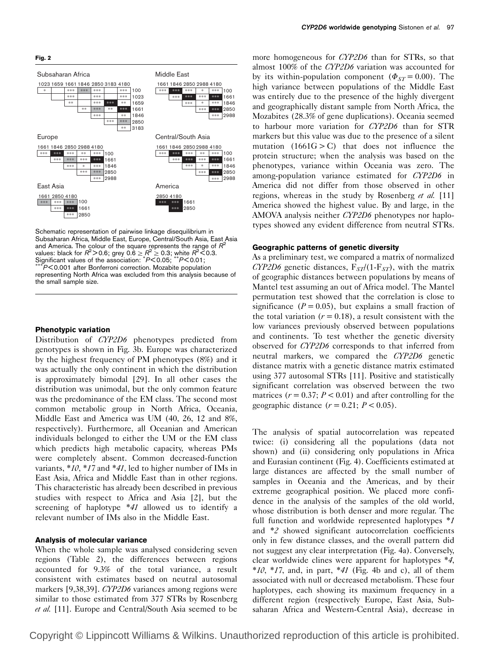

Schematic representation of pairwise linkage disequilibrium in Subsaharan Africa, Middle East, Europe, Central/South Asia, East Asia and America. The colour of the square represents the range of  $R^2$ values: black for  $R^2$ >0.6; grey 0.6  $\geq R^2\geq$  0.3; white  $R^2$ <0.3. Significant values of the association:  $*P<0.05$ ;  $*P<0.01$ ;<br>\*\*\*P<0.001 after Bonferroni correction. Mozabite population

representing North Africa was excluded from this analysis because of the small sample size.

### Phenotypic variation

Distribution of *CYP2D6* phenotypes predicted from genotypes is shown in Fig. 3b. Europe was characterized by the highest frequency of PM phenotypes (8%) and it was actually the only continent in which the distribution is approximately bimodal [29]. In all other cases the distribution was unimodal, but the only common feature was the predominance of the EM class. The second most common metabolic group in North Africa, Oceania, Middle East and America was UM (40, 26, 12 and 8%, respectively). Furthermore, all Oceanian and American individuals belonged to either the UM or the EM class which predicts high metabolic capacity, whereas PMs were completely absent. Common decreased-function variants,  $*10$ ,  $*17$  and  $*41$ , led to higher number of IMs in East Asia, Africa and Middle East than in other regions. This characteristic has already been described in previous studies with respect to Africa and Asia [2], but the screening of haplotype \*41 allowed us to identify a relevant number of IMs also in the Middle East.

#### Analysis of molecular variance

When the whole sample was analysed considering seven regions (Table 2), the differences between regions accounted for 9.3% of the total variance, a result consistent with estimates based on neutral autosomal markers [9,38,39]. CYP2D6 variances among regions were similar to those estimated from 377 STRs by Rosenberg et al. [11]. Europe and Central/South Asia seemed to be

more homogeneous for CYP2D6 than for STRs, so that almost 100% of the CYP2D6 variation was accounted for by its within-population component ( $\Phi_{ST} = 0.00$ ). The high variance between populations of the Middle East was entirely due to the presence of the highly divergent and geographically distant sample from North Africa, the Mozabites (28.3% of gene duplications). Oceania seemed to harbour more variation for CYP2D6 than for STR markers but this value was due to the presence of a silent mutation  $(1661G > C)$  that does not influence the protein structure; when the analysis was based on the phenotypes, variance within Oceania was zero. The among-population variance estimated for CYP2D6 in America did not differ from those observed in other regions, whereas in the study by Rosenberg et al. [11] America showed the highest value. By and large, in the AMOVA analysis neither CYP2D6 phenotypes nor haplotypes showed any evident difference from neutral STRs.

#### Geographic patterns of genetic diversity

As a preliminary test, we compared a matrix of normalized CYP2D6 genetic distances,  $F_{ST}/(1-F_{ST})$ , with the matrix of geographic distances between populations by means of Mantel test assuming an out of Africa model. The Mantel permutation test showed that the correlation is close to significance ( $P = 0.05$ ), but explains a small fraction of the total variation  $(r = 0.18)$ , a result consistent with the low variances previously observed between populations and continents. To test whether the genetic diversity observed for CYP2D6 corresponds to that inferred from neutral markers, we compared the CYP2D6 genetic distance matrix with a genetic distance matrix estimated using 377 autosomal STRs [11]. Positive and statistically significant correlation was observed between the two matrices ( $r = 0.37$ ;  $P < 0.01$ ) and after controlling for the geographic distance  $(r = 0.21; P < 0.05)$ .

The analysis of spatial autocorrelation was repeated twice: (i) considering all the populations (data not shown) and (ii) considering only populations in Africa and Eurasian continent (Fig. 4). Coefficients estimated at large distances are affected by the small number of samples in Oceania and the Americas, and by their extreme geographical position. We placed more confidence in the analysis of the samples of the old world, whose distribution is both denser and more regular. The full function and worldwide represented haplotypes \*1 and \*2 showed significant autocorrelation coefficients only in few distance classes, and the overall pattern did not suggest any clear interpretation (Fig. 4a). Conversely, clear worldwide clines were apparent for haplotypes \*4,  $*10$ ,  $*17$ , and, in part,  $*41$  (Fig. 4b and c), all of them associated with null or decreased metabolism. These four haplotypes, each showing its maximum frequency in a different region (respectively Europe, East Asia, Subsaharan Africa and Western-Central Asia), decrease in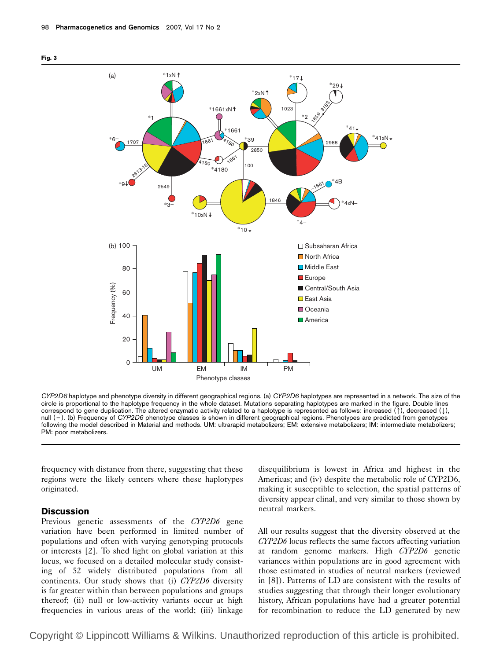



CYP2D6 haplotype and phenotype diversity in different geographical regions. (a) CYP2D6 haplotypes are represented in a network. The size of the circle is proportional to the haplotype frequency in the whole dataset. Mutations separating haplotypes are marked in the figure. Double lines correspond to gene duplication. The altered enzymatic activity related to a haplotype is represented as follows: increased (1), decreased (1), null (-). (b) Frequency of CYP2D6 phenotype classes is shown in different geographical regions. Phenotypes are predicted from genotypes following the model described in Material and methods. UM: ultrarapid metabolizers; EM: extensive metabolizers; IM: intermediate metabolizers; PM: poor metabolizers.

frequency with distance from there, suggesting that these regions were the likely centers where these haplotypes originated.

# **Discussion**

Previous genetic assessments of the CYP2D6 gene variation have been performed in limited number of populations and often with varying genotyping protocols or interests [2]. To shed light on global variation at this locus, we focused on a detailed molecular study consisting of 52 widely distributed populations from all continents. Our study shows that (i) CYP2D6 diversity is far greater within than between populations and groups thereof; (ii) null or low-activity variants occur at high frequencies in various areas of the world; (iii) linkage disequilibrium is lowest in Africa and highest in the Americas; and (iv) despite the metabolic role of CYP2D6, making it susceptible to selection, the spatial patterns of diversity appear clinal, and very similar to those shown by neutral markers.

All our results suggest that the diversity observed at the CYP2D6 locus reflects the same factors affecting variation at random genome markers. High CYP2D6 genetic variances within populations are in good agreement with those estimated in studies of neutral markers (reviewed in [8]). Patterns of LD are consistent with the results of studies suggesting that through their longer evolutionary history, African populations have had a greater potential for recombination to reduce the LD generated by new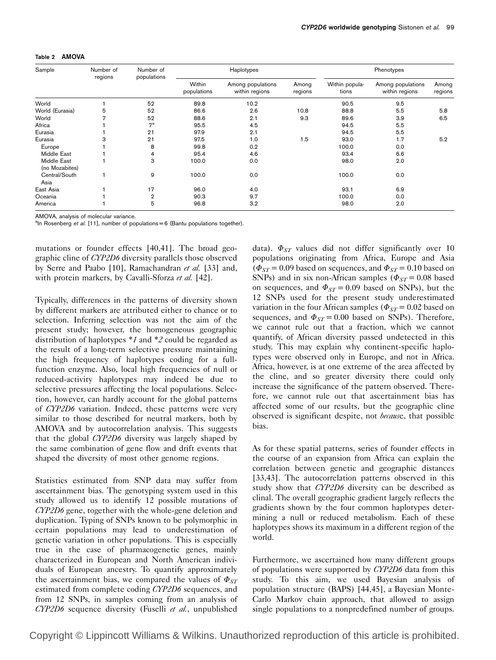| Sample                        | Number of<br>regions | Number of<br>populations |                       | Haplotypes                          | Phenotypes       |                         |                                     |                  |
|-------------------------------|----------------------|--------------------------|-----------------------|-------------------------------------|------------------|-------------------------|-------------------------------------|------------------|
|                               |                      |                          | Within<br>populations | Among populations<br>within regions | Among<br>regions | Within popula-<br>tions | Among populations<br>within regions | Among<br>regions |
| World                         |                      | 52                       | 89.8                  | 10.2                                |                  | 90.5                    | 9.5                                 |                  |
| World (Eurasia)               | 5                    | 52                       | 86.6                  | 2.6                                 | 10.8             | 88.8                    | 5.5                                 | 5.8              |
| World                         | 7                    | 52                       | 88.6                  | 2.1                                 | 9.3              | 89.6                    | 3.9                                 | 6.5              |
| Africa                        |                      | 7 <sup>a</sup>           | 95.5                  | 4.5                                 |                  | 94.5                    | 5.5                                 |                  |
| Eurasia                       |                      | 21                       | 97.9                  | 2.1                                 |                  | 94.5                    | 5.5                                 |                  |
| Eurasia                       | 3                    | 21                       | 97.5                  | 1.0                                 | 1.5              | 93.0                    | 1.7                                 | 5.2              |
| Europe                        |                      | 8                        | 99.8                  | 0.2                                 |                  | 100.0                   | 0.0                                 |                  |
| Middle East                   |                      | 4                        | 95.4                  | 4.6                                 |                  | 93.4                    | 6.6                                 |                  |
| Middle East<br>(no Mozabites) |                      | 3                        | 100.0                 | 0.0                                 |                  | 98.0                    | 2.0                                 |                  |
| Central/South<br>Asia         |                      | 9                        | 100.0                 | 0.0                                 |                  | 100.0                   | 0.0                                 |                  |
| East Asia                     |                      | 17                       | 96.0                  | 4.0                                 |                  | 93.1                    | 6.9                                 |                  |
| Oceania                       |                      | $\overline{2}$           | 90.3                  | 9.7                                 |                  | 100.0                   | 0.0                                 |                  |
| America                       |                      | 5                        | 96.8                  | 3.2                                 |                  | 98.0                    | 2.0                                 |                  |

AMOVA, analysis of molecular variance.

<sup>a</sup>ln Rosenberg et al. [11], number of populations = 6 (Bantu populations together).

mutations or founder effects [40,41]. The broad geographic cline of CYP2D6 diversity parallels those observed by Serre and Paabo [10], Ramachandran et al. [33] and, with protein markers, by Cavalli-Sforza et al. [42].

Typically, differences in the patterns of diversity shown by different markers are attributed either to chance or to selection. Inferring selection was not the aim of the present study; however, the homogeneous geographic distribution of haplotypes \*1 and \*2 could be regarded as the result of a long-term selective pressure maintaining the high frequency of haplotypes coding for a fullfunction enzyme. Also, local high frequencies of null or reduced-activity haplotypes may indeed be due to selective pressures affecting the local populations. Selection, however, can hardly account for the global patterns of CYP2D6 variation. Indeed, these patterns were very similar to those described for neutral markers, both by AMOVA and by autocorrelation analysis. This suggests that the global CYP2D6 diversity was largely shaped by the same combination of gene flow and drift events that shaped the diversity of most other genome regions.

Statistics estimated from SNP data may suffer from ascertainment bias. The genotyping system used in this study allowed us to identify 12 possible mutations of CYP2D6 gene, together with the whole-gene deletion and duplication. Typing of SNPs known to be polymorphic in certain populations may lead to underestimation of genetic variation in other populations. This is especially true in the case of pharmacogenetic genes, mainly characterized in European and North American individuals of European ancestry. To quantify approximately the ascertainment bias, we compared the values of  $\Phi_{ST}$ estimated from complete coding CYP2D6 sequences, and from 12 SNPs, in samples coming from an analysis of CYP2D6 sequence diversity (Fuselli et al., unpublished

data).  $\Phi_{ST}$  values did not differ significantly over 10 populations originating from Africa, Europe and Asia  $(\Phi_{ST} = 0.09$  based on sequences, and  $\Phi_{ST} = 0.10$  based on SNPs) and in six non-African samples ( $\Phi_{ST}$  = 0.08 based on sequences, and  $\Phi_{ST} = 0.09$  based on SNPs), but the 12 SNPs used for the present study underestimated variation in the four African samples ( $\Phi_{ST}$  = 0.02 based on sequences, and  $\Phi_{ST} = 0.00$  based on SNPs). Therefore, we cannot rule out that a fraction, which we cannot quantify, of African diversity passed undetected in this study. This may explain why continent-specific haplotypes were observed only in Europe, and not in Africa. Africa, however, is at one extreme of the area affected by the cline, and so greater diversity there could only increase the significance of the pattern observed. Therefore, we cannot rule out that ascertainment bias has affected some of our results, but the geographic cline observed is significant despite, not *because*, that possible bias.

As for these spatial patterns, series of founder effects in the course of an expansion from Africa can explain the correlation between genetic and geographic distances [33,43]. The autocorrelation patterns observed in this study show that CYP2D6 diversity can be described as clinal. The overall geographic gradient largely reflects the gradients shown by the four common haplotypes determining a null or reduced metabolism. Each of these haplotypes shows its maximum in a different region of the world.

Furthermore, we ascertained how many different groups of populations were supported by CYP2D6 data from this study. To this aim, we used Bayesian analysis of population structure (BAPS) [44,45], a Bayesian Monte-Carlo Markov chain approach, that allowed to assign single populations to a nonpredefined number of groups.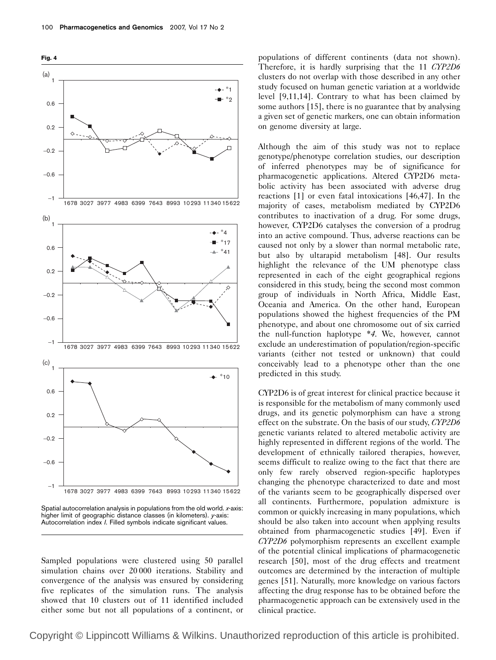

Spatial autocorrelation analysis in populations from the old world. x-axis: higher limit of geographic distance classes (in kilometers). y-axis: Autocorrelation index I. Filled symbols indicate significant values.

Sampled populations were clustered using 50 parallel simulation chains over 20 000 iterations. Stability and convergence of the analysis was ensured by considering five replicates of the simulation runs. The analysis showed that 10 clusters out of 11 identified included either some but not all populations of a continent, or populations of different continents (data not shown). Therefore, it is hardly surprising that the 11 CYP2D6 clusters do not overlap with those described in any other study focused on human genetic variation at a worldwide level [9,11,14]. Contrary to what has been claimed by some authors [15], there is no guarantee that by analysing a given set of genetic markers, one can obtain information on genome diversity at large.

Although the aim of this study was not to replace genotype/phenotype correlation studies, our description of inferred phenotypes may be of significance for pharmacogenetic applications. Altered CYP2D6 metabolic activity has been associated with adverse drug reactions [1] or even fatal intoxications [46,47]. In the majority of cases, metabolism mediated by CYP2D6 contributes to inactivation of a drug. For some drugs, however, CYP2D6 catalyses the conversion of a prodrug into an active compound. Thus, adverse reactions can be caused not only by a slower than normal metabolic rate, but also by ultarapid metabolism [48]. Our results highlight the relevance of the UM phenotype class represented in each of the eight geographical regions considered in this study, being the second most common group of individuals in North Africa, Middle East, Oceania and America. On the other hand, European populations showed the highest frequencies of the PM phenotype, and about one chromosome out of six carried the null-function haplotype \*4. We, however, cannot exclude an underestimation of population/region-specific variants (either not tested or unknown) that could conceivably lead to a phenotype other than the one predicted in this study.

CYP2D6 is of great interest for clinical practice because it is responsible for the metabolism of many commonly used drugs, and its genetic polymorphism can have a strong effect on the substrate. On the basis of our study, CYP2D6 genetic variants related to altered metabolic activity are highly represented in different regions of the world. The development of ethnically tailored therapies, however, seems difficult to realize owing to the fact that there are only few rarely observed region-specific haplotypes changing the phenotype characterized to date and most of the variants seem to be geographically dispersed over all continents. Furthermore, population admixture is common or quickly increasing in many populations, which should be also taken into account when applying results obtained from pharmacogenetic studies [49]. Even if CYP2D6 polymorphism represents an excellent example of the potential clinical implications of pharmacogenetic research [50], most of the drug effects and treatment outcomes are determined by the interaction of multiple genes [51]. Naturally, more knowledge on various factors affecting the drug response has to be obtained before the pharmacogenetic approach can be extensively used in the clinical practice.